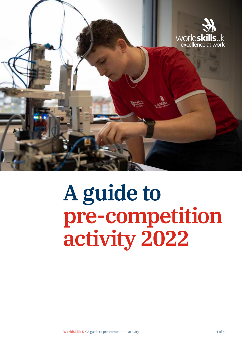

# **A guide to pre-competition activity 2022**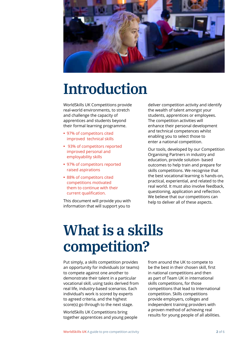

### **Introduction**

WorldSkills UK Competitions provide real-world environments, to stretch and challenge the capacity of apprentices and students beyond their formal learning programme.

- **•** 97% of competitors cited improved technical skills
- **•** 93% of competitors reported improved personal and employability skills
- **•** 97% of competitors reported raised aspirations
- **•** 88% of competitors cited competitions motivated them to continue with their current qualification.

This document will provide you with information that will support you to

deliver competition activity and identify the wealth of talent amongst your students, apprentices or employees. The competition activities will enhance their personal development and technical competences whilst enabling you to select those to enter a national competition.

Our tools, developed by our Competition Organising Partners in industry and education, provide solution- based outcomes to help train and prepare for skills competitions. We recognise that the best vocational learning is hands-on, practical, experiential, and related to the real world. It must also involve feedback, questioning, application and reflection. We believe that our competitions can help to deliver all of these aspects.

# **What is a skills competition?**

Put simply, a skills competition provides an opportunity for individuals (or teams) to compete against one another to demonstrate their talent in a particular vocational skill, using tasks derived from real life, industry-based scenarios. Each individual's work is scored by experts to agreed criteria, and the highest score(s) go through to the next stage.

WorldSkills UK Competitions bring together apprentices and young people

from around the UK to compete to be the best in their chosen skill, first in national competitions and then as part of Team UK in international skills competitions, for those competitions that lead to International competition. Skills competitions provide employers, colleges and independent training providers with a proven method of achieving real results for young people of all abilities.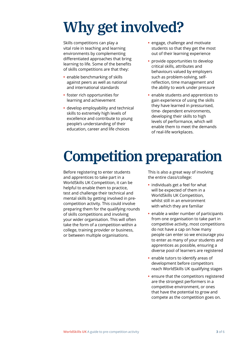# **Why get involved?**

Skills competitions can play a vital role in teaching and learning environments by complementing differentiated approaches that bring learning to life. Some of the benefits of skills competitions are that they:

- **•** enable benchmarking of skills against peers as well as national and international standards
- **•** foster rich opportunities for learning and achievement
- **•** develop employability and technical skills to extremely high levels of excellence and contribute to young people's understanding of their education, career and life choices
- **•** engage, challenge and motivate students so that they get the most out of their learning experience
- **•** provide opportunities to develop critical skills, attributes and behaviours valued by employers such as problem-solving, selfreflection, time management and the ability to work under pressure
- **•** enable students and apprentices to gain experience of using the skills they have learned in pressurised, time- dependent environments, developing their skills to high levels of performance, which will enable them to meet the demands of real-life workplaces.

# **Competition preparation**

Before registering to enter students and apprentices to take part in a WorldSkills UK Competition, it can be helpful to enable them to practice, test and challenge their technical and mental skills by getting involved in precompetition activity. This could involve preparing them for the qualifying rounds of skills competitions and involving your wider organisation. This will often take the form of a competition within a college, training provider or business, or between multiple organisations.

This is also a great way of involving the entire class/college:

- **•** individuals get a feel for what will be expected of them in a WorldSkills UK Competition, whilst still in an environment with which they are familiar
- **•** enable a wider number of participants from one organisation to take part in competitive activity, most competitions do not have a cap on how many people can enter so we encourage you to enter as many of your students and apprentices as possible, ensuring a diverse pool of learners are registered
- **•** enable tutors to identify areas of development before competitors reach WorldSkills UK qualifying stages
- **•** ensure that the competitors registered are the strongest performers in a competitive environment, or ones that have the potential to grow and compete as the competition goes on.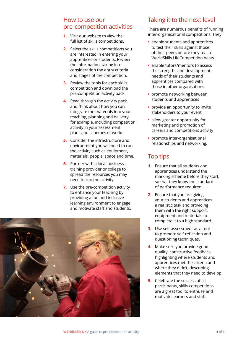#### How to use our pre-competition activities

- **1.** Visit our website to view the full list of skills competitions.
- **2.** Select the skills competitions you are interested in entering your apprentices or students. Review the information, taking into consideration the entry criteria and stages of the competition.
- **3.** Review the tools for each skills competition and download the pre-competition activity pack.
- **4.** Read through the activity pack and think about how you can integrate the materials into your teaching, planning and delivery, for example, including competition activity in your assessment plans and schemes of works.
- **5.** Consider the infrastructure and environment you will need to run the activity such as equipment, materials, people, space and time.
- **6.** Partner with a local business, training provider or college to spread the resources you may need to run the activity.
- **7.** Use the pre-competition activity to enhance your teaching by providing a fun and inclusive learning environment to engage and motivate staff and students.



### Taking it to the next level

There are numerous benefits of running inter-organisational competitions. They:

- **•** enable students and apprentices to test their skills against those of their peers before they reach WorldSkills UK Competition heats
- **•** enable tutors/mentors to assess the strengths and development needs of their students and apprentices compared with those in other organisations.
- **•** promote networking between students and apprentices
- **•** provide an opportunity to invite stakeholders to your event
- **•** allow greater opportunity for marketing and promotion of careers and competitions activity
- **•** promote inter-organisational relationships and networking.

### Top tips

- **1.** Ensure that all students and apprentices understand the marking scheme before they start, so that they know the standard of performance required.
- **2.** Ensure that you are giving your students and apprentices a realistic task and providing them with the right support, equipment and materials to complete it to a high standard.
- **3.** Use self-assessment as a tool to promote self-reflection and questioning techniques.
- **4.** Make sure you provide good quality, constructive feedback, highlighting where students and apprentices met the criteria and where they didn't, describing elements that they need to develop.
- **5.** Celebrate the success of all participants, skills competitions are a great tool to enthuse and motivate learners and staff.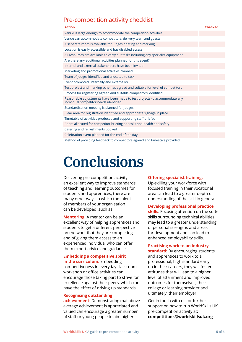### Pre-competition activity checklist

| <b>Action</b>                                                                                                       | <b>Checked</b> |
|---------------------------------------------------------------------------------------------------------------------|----------------|
| Venue is large enough to accommodate the competition activities                                                     |                |
| Venue can accommodate competitors, delivery team and guests                                                         |                |
| A separate room is available for judges briefing and marking                                                        |                |
| Location is easily accessible and has disabled access                                                               |                |
| All resources are available to carry out tasks including any specialist equipment                                   |                |
| Are there any additional activities planned for this event?                                                         |                |
| Internal and external stakeholders have been invited                                                                |                |
| Marketing and promotional activities planned                                                                        |                |
| Team of judges identified and allocated to task                                                                     |                |
| Event promoted (internally and externally)                                                                          |                |
| Test project and marking schemes agreed and suitable for level of competitors                                       |                |
| Process for registering agreed and suitable competitors identified                                                  |                |
| Reasonable adjustments have been made to test projects to accommodate any<br>individual competitor needs identified |                |
| Standardisation meeting is planned for judges                                                                       |                |
| Clear area for registration identified and appropriate signage in place                                             |                |
| Timetable of activities produced and supporting staff briefed                                                       |                |
| Room allocated for competitor briefing on tasks and health and safety                                               |                |
| Catering and refreshments booked                                                                                    |                |
| Celebration event planned for the end of the day                                                                    |                |
| Method of providing feedback to competitors agreed and timescale provided                                           |                |

# **Conclusions**

Delivering pre-competition activity is an excellent way to improve standards of teaching and learning outcomes for students and apprentices, there are many other ways in which the talent of members of your organisation can be developed, such as:

**Mentoring:** A mentor can be an excellent way of helping apprentices and students to get a different perspective on the work that they are completing, and of giving them access to an experienced individual who can offer them expert advice and guidance.

### **Embedding a competitive spirit**

**in the curriculum:** Embedding competitiveness in everyday classroom, workshop or office activities can encourage those taking part to strive for excellence against their peers, which can have the effect of driving up standards.

#### **Recognising outstanding**

**achievement:** Demonstrating that above average achievement is appreciated and valued can encourage a greater number of staff or young people to aim higher.

#### **Offering specialist training:**

Up-skilling your workforce with focused training in their vocational area can lead to a greater depth of understanding of the skill in general.

#### **Developing professional practice**

**skills**: Focusing attention on the softer skills surrounding technical abilities may lead to a greater understanding of personal strengths and areas for development and can lead to enhanced employability skills.

#### **Practising work to an industry**

**standard:** By encouraging students and apprentices to work to a professional, high standard early on in their careers, they will foster attitudes that will lead to a higher level of attainment and improved outcomes for themselves, their college or learning provider and ultimately, their employer.

Get in touch with us for further support on how to run WorldSkills UK pre-competition activity at: **[competitions@worldskillsuk.org](mailto:Competitions@worldskillsuk.org)**